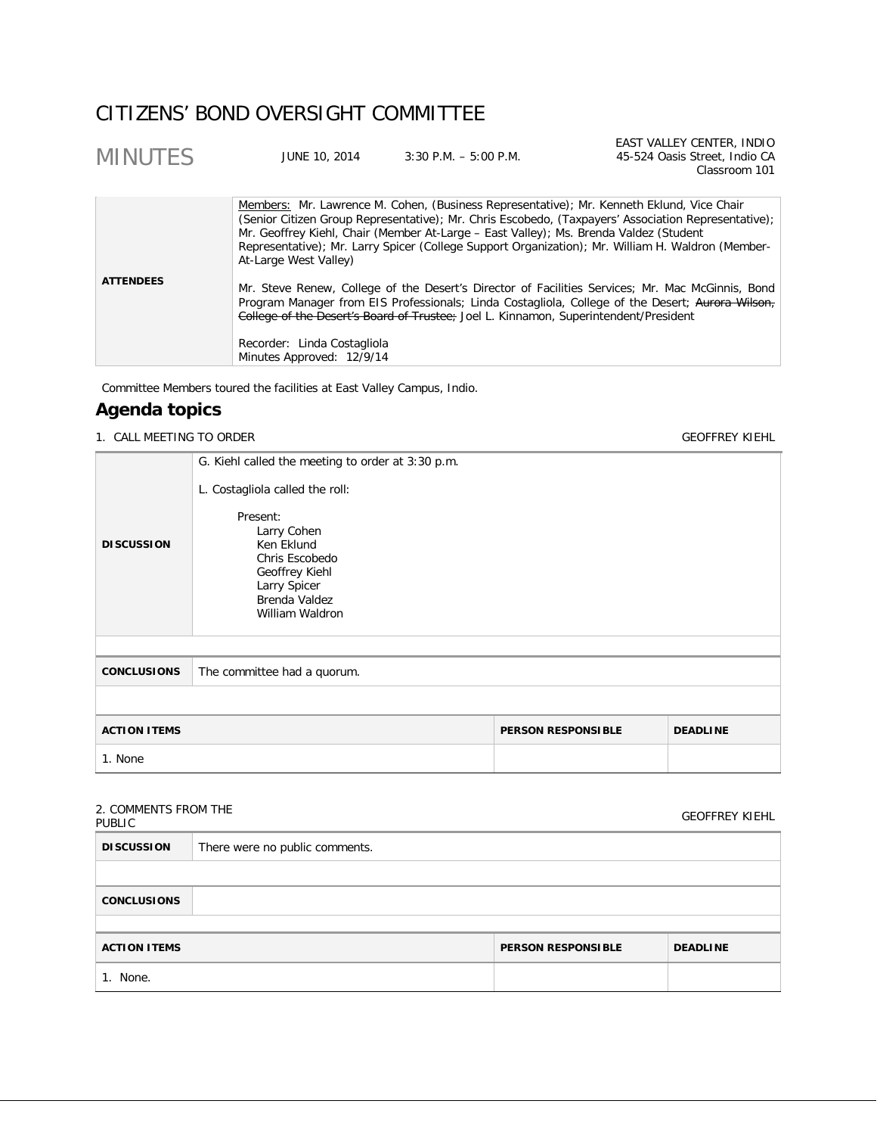# CITIZENS' BOND OVERSIGHT COMMITTEE

| <b>MINUTES</b>   | JUNE 10, 2014               | $3:30$ P.M. $-5:00$ P.M.                                                              | EAST VALLEY CENTER, INDIO<br>45-524 Oasis Street, Indio CA<br>Classroom 101                                                                                                                                                                                                                           |
|------------------|-----------------------------|---------------------------------------------------------------------------------------|-------------------------------------------------------------------------------------------------------------------------------------------------------------------------------------------------------------------------------------------------------------------------------------------------------|
|                  | At-Large West Valley)       | Mr. Geoffrey Kiehl, Chair (Member At-Large - East Valley); Ms. Brenda Valdez (Student | Members: Mr. Lawrence M. Cohen, (Business Representative); Mr. Kenneth Eklund, Vice Chair<br>(Senior Citizen Group Representative); Mr. Chris Escobedo, (Taxpayers' Association Representative);<br>Representative); Mr. Larry Spicer (College Support Organization); Mr. William H. Waldron (Member- |
| <b>ATTENDEES</b> | Recorder: Linda Costagliola | College of the Desert's Board of Trustee; Joel L. Kinnamon, Superintendent/President  | Mr. Steve Renew, College of the Desert's Director of Facilities Services; Mr. Mac McGinnis, Bond<br>Program Manager from EIS Professionals; Linda Costagliola, College of the Desert; Aurora Wilson,                                                                                                  |

Committee Members toured the facilities at East Valley Campus, Indio.

Minutes Approved: 12/9/14

# **Agenda topics**

## 1. CALL MEETING TO ORDER GEOFFREY KIEHL

|                                                                     | G. Kiehl called the meeting to order at 3:30 p.m.                                                                            |  |  |
|---------------------------------------------------------------------|------------------------------------------------------------------------------------------------------------------------------|--|--|
| <b>DISCUSSION</b>                                                   | L. Costagliola called the roll:<br>Present:<br>Larry Cohen<br>Ken Eklund<br>Chris Escobedo<br>Geoffrey Kiehl<br>Larry Spicer |  |  |
|                                                                     | Brenda Valdez<br>William Waldron                                                                                             |  |  |
|                                                                     |                                                                                                                              |  |  |
| <b>CONCLUSIONS</b>                                                  | The committee had a quorum.                                                                                                  |  |  |
|                                                                     |                                                                                                                              |  |  |
| <b>ACTION ITEMS</b><br><b>PERSON RESPONSIBLE</b><br><b>DEADLINE</b> |                                                                                                                              |  |  |
| 1. None                                                             |                                                                                                                              |  |  |
|                                                                     |                                                                                                                              |  |  |

# 2. COMMENTS FROM THE

| 2. CONTRILIVIO I RONI TITL<br>PUBLIC |                                |                           | <b>GEOFFREY KIEHL</b> |
|--------------------------------------|--------------------------------|---------------------------|-----------------------|
| <b>DISCUSSION</b>                    | There were no public comments. |                           |                       |
|                                      |                                |                           |                       |
| <b>CONCLUSIONS</b>                   |                                |                           |                       |
|                                      |                                |                           |                       |
| <b>ACTION ITEMS</b>                  |                                | <b>PERSON RESPONSIBLE</b> | <b>DEADLINE</b>       |
| 1. None.                             |                                |                           |                       |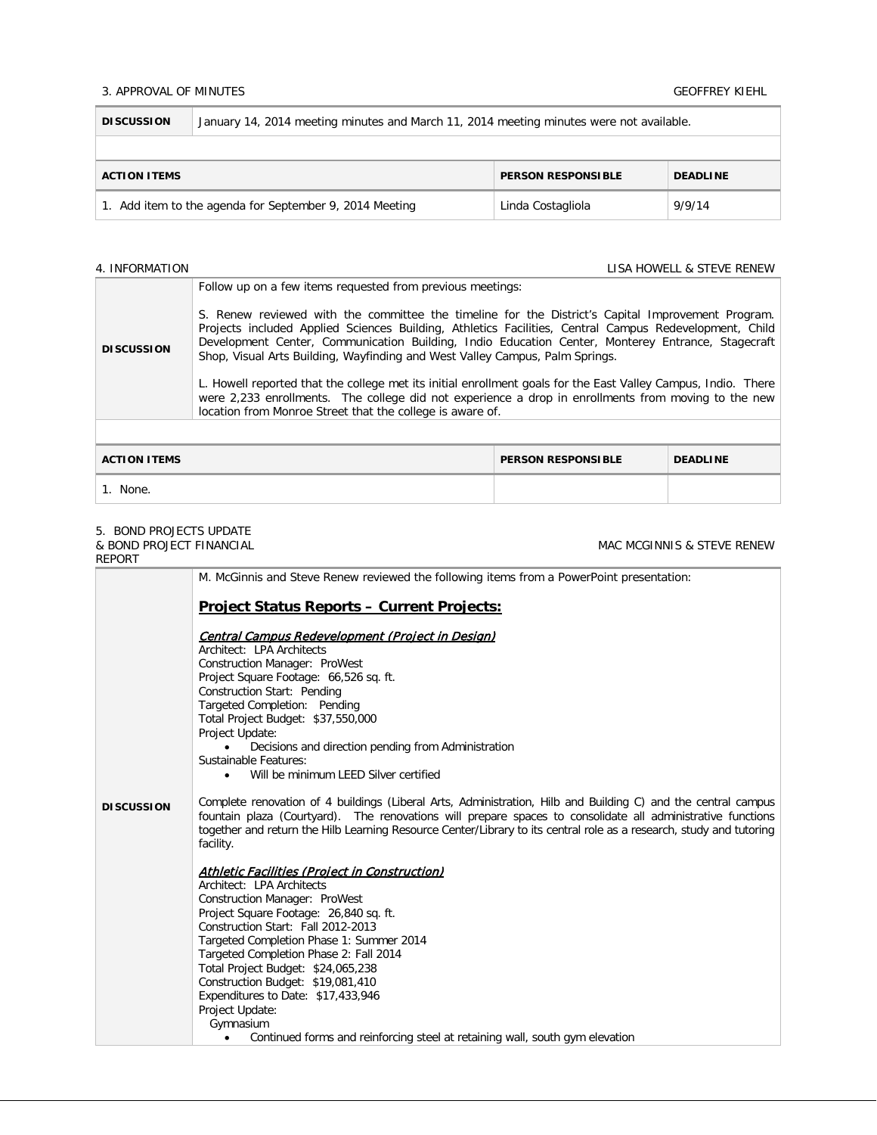### 3. APPROVAL OF MINUTES GEOFFREY KIEHL

f.

| <b>DISCUSSION</b>                                                   | January 14, 2014 meeting minutes and March 11, 2014 meeting minutes were not available. |                   |        |
|---------------------------------------------------------------------|-----------------------------------------------------------------------------------------|-------------------|--------|
|                                                                     |                                                                                         |                   |        |
| <b>PERSON RESPONSIBLE</b><br><b>DEADLINE</b><br><b>ACTION ITEMS</b> |                                                                                         |                   |        |
| 1. Add item to the agenda for September 9, 2014 Meeting             |                                                                                         | Linda Costagliola | 9/9/14 |

4. INFORMATION LISA HOWELL & STEVE RENEW

MAC MCGINNIS & STEVE RENEW

| <b>DISCUSSION</b>                                                   | Follow up on a few items requested from previous meetings:<br>S. Renew reviewed with the committee the timeline for the District's Capital Improvement Program.<br>Projects included Applied Sciences Building, Athletics Facilities, Central Campus Redevelopment, Child<br>Development Center, Communication Building, Indio Education Center, Monterey Entrance, Stagecraft<br>Shop, Visual Arts Building, Wayfinding and West Valley Campus, Palm Springs.<br>L. Howell reported that the college met its initial enrollment goals for the East Valley Campus, Indio. There<br>were 2,233 enrollments. The college did not experience a drop in enrollments from moving to the new<br>location from Monroe Street that the college is aware of. |  |  |
|---------------------------------------------------------------------|-----------------------------------------------------------------------------------------------------------------------------------------------------------------------------------------------------------------------------------------------------------------------------------------------------------------------------------------------------------------------------------------------------------------------------------------------------------------------------------------------------------------------------------------------------------------------------------------------------------------------------------------------------------------------------------------------------------------------------------------------------|--|--|
| <b>ACTION ITEMS</b><br><b>PERSON RESPONSIBLE</b><br><b>DEADLINE</b> |                                                                                                                                                                                                                                                                                                                                                                                                                                                                                                                                                                                                                                                                                                                                                     |  |  |
| 1. None.                                                            |                                                                                                                                                                                                                                                                                                                                                                                                                                                                                                                                                                                                                                                                                                                                                     |  |  |

# 5. BOND PROJECTS UPDATE

& BOND PROJECT FINANCIAL

| REPORT            |                                                                                                                                                                                                                                                                                                                                                                                                                                                                                                                                                                                                                                                                                                                                                                                            |  |  |  |  |
|-------------------|--------------------------------------------------------------------------------------------------------------------------------------------------------------------------------------------------------------------------------------------------------------------------------------------------------------------------------------------------------------------------------------------------------------------------------------------------------------------------------------------------------------------------------------------------------------------------------------------------------------------------------------------------------------------------------------------------------------------------------------------------------------------------------------------|--|--|--|--|
|                   | M. McGinnis and Steve Renew reviewed the following items from a PowerPoint presentation:                                                                                                                                                                                                                                                                                                                                                                                                                                                                                                                                                                                                                                                                                                   |  |  |  |  |
|                   | <b>Project Status Reports - Current Projects:</b>                                                                                                                                                                                                                                                                                                                                                                                                                                                                                                                                                                                                                                                                                                                                          |  |  |  |  |
| <b>DISCUSSION</b> | Central Campus Redevelopment (Project in Design)<br>Architect: LPA Architects<br>Construction Manager: ProWest<br>Project Square Footage: 66,526 sq. ft.<br>Construction Start: Pending<br>Targeted Completion: Pending<br>Total Project Budget: \$37,550,000<br>Project Update:<br>Decisions and direction pending from Administration<br>Sustainable Features:<br>Will be minimum LEED Silver certified<br>$\bullet$<br>Complete renovation of 4 buildings (Liberal Arts, Administration, Hilb and Building C) and the central campus<br>fountain plaza (Courtyard). The renovations will prepare spaces to consolidate all administrative functions<br>together and return the Hilb Learning Resource Center/Library to its central role as a research, study and tutoring<br>facility. |  |  |  |  |
|                   | <b>Athletic Facilities (Project in Construction)</b><br>Architect: LPA Architects<br>Construction Manager: ProWest<br>Project Square Footage: 26,840 sq. ft.<br>Construction Start: Fall 2012-2013<br>Targeted Completion Phase 1: Summer 2014<br>Targeted Completion Phase 2: Fall 2014<br>Total Project Budget: \$24,065,238<br>Construction Budget: \$19,081,410<br>Expenditures to Date: \$17,433,946<br>Project Update:<br>Gymnasium<br>Continued forms and reinforcing steel at retaining wall, south gym elevation                                                                                                                                                                                                                                                                  |  |  |  |  |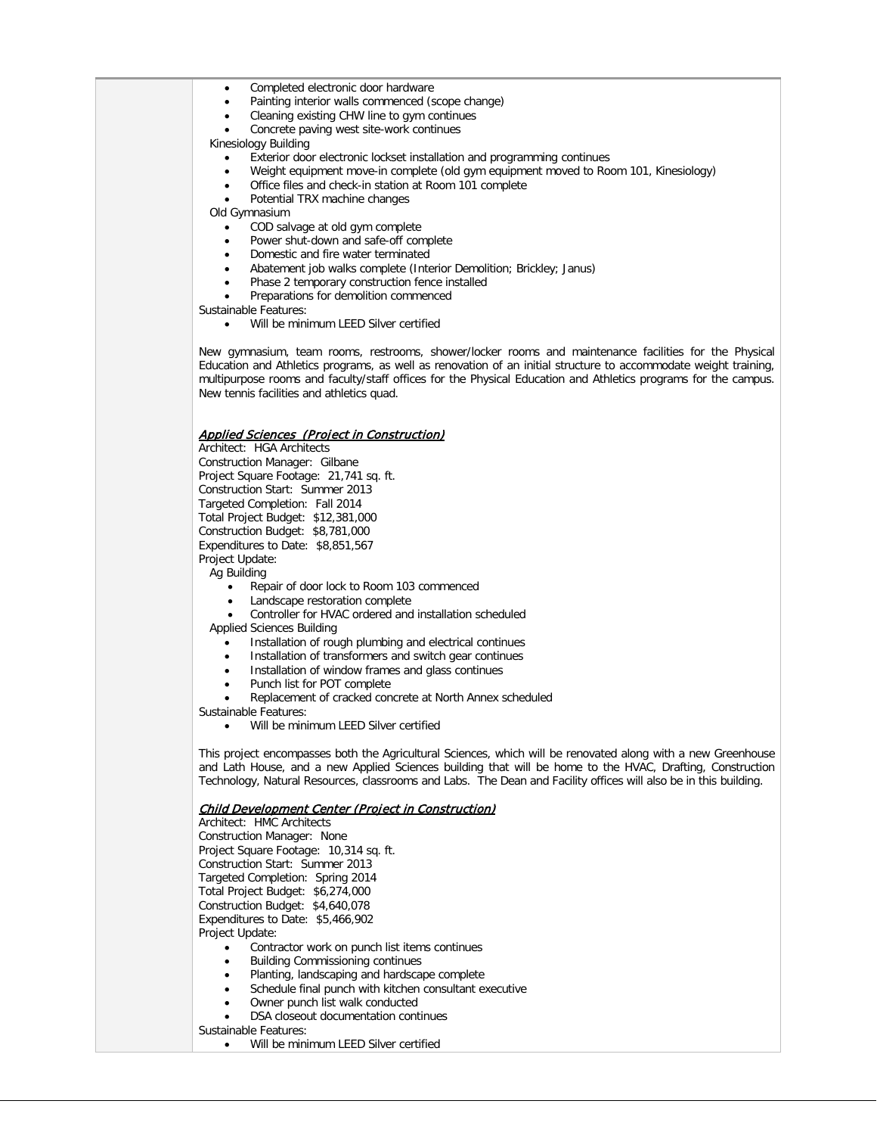- Completed electronic door hardware
- Painting interior walls commenced (scope change)
- Cleaning existing CHW line to gym continues
- Concrete paving west site-work continues

Kinesiology Building

- Exterior door electronic lockset installation and programming continues
- Weight equipment move-in complete (old gym equipment moved to Room 101, Kinesiology)
- Office files and check-in station at Room 101 complete
- Potential TRX machine changes

Old Gymnasium

- COD salvage at old gym complete
- Power shut-down and safe-off complete
- Domestic and fire water terminated
- Abatement job walks complete (Interior Demolition; Brickley; Janus)
- Phase 2 temporary construction fence installed
- Preparations for demolition commenced
- Sustainable Features:
	- Will be minimum LEED Silver certified

New gymnasium, team rooms, restrooms, shower/locker rooms and maintenance facilities for the Physical Education and Athletics programs, as well as renovation of an initial structure to accommodate weight training, multipurpose rooms and faculty/staff offices for the Physical Education and Athletics programs for the campus. New tennis facilities and athletics quad.

### Applied Sciences (Project in Construction)

Architect: HGA Architects Construction Manager: Gilbane

Project Square Footage: 21,741 sq. ft. Construction Start: Summer 2013 Targeted Completion: Fall 2014 Total Project Budget: \$12,381,000 Construction Budget: \$8,781,000 Expenditures to Date: \$8,851,567 Project Update:

- Ag Building
	- Repair of door lock to Room 103 commenced
	- Landscape restoration complete
	- Controller for HVAC ordered and installation scheduled

Applied Sciences Building

- Installation of rough plumbing and electrical continues
- Installation of transformers and switch gear continues
- Installation of window frames and glass continues
- Punch list for POT complete
- Replacement of cracked concrete at North Annex scheduled

Sustainable Features:

• Will be minimum LEED Silver certified

This project encompasses both the Agricultural Sciences, which will be renovated along with a new Greenhouse and Lath House, and a new Applied Sciences building that will be home to the HVAC, Drafting, Construction Technology, Natural Resources, classrooms and Labs. The Dean and Facility offices will also be in this building.

#### Child Development Center (Project in Construction)

Architect: HMC Architects Construction Manager: None

Project Square Footage: 10,314 sq. ft.

Construction Start: Summer 2013

Targeted Completion: Spring 2014

Total Project Budget: \$6,274,000

Construction Budget: \$4,640,078

Expenditures to Date: \$5,466,902

Project Update:

- Contractor work on punch list items continues
- Building Commissioning continues
- Planting, landscaping and hardscape complete
- Schedule final punch with kitchen consultant executive
- Owner punch list walk conducted
- DSA closeout documentation continues

Sustainable Features:

Will be minimum LEED Silver certified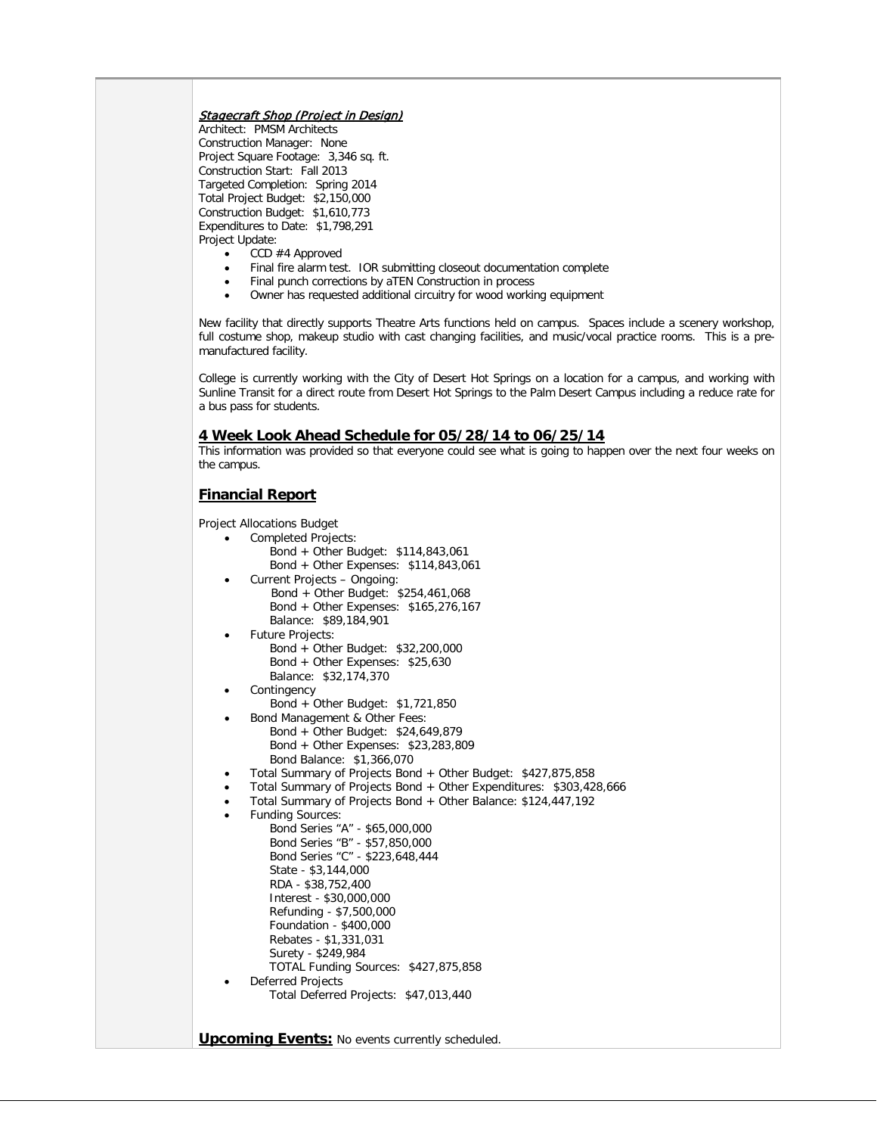### **Stagecraft Shop (Project in Design)**

Architect: PMSM Architects Construction Manager: None Project Square Footage: 3,346 sq. ft. Construction Start: Fall 2013 Targeted Completion: Spring 2014 Total Project Budget: \$2,150,000 Construction Budget: \$1,610,773 Expenditures to Date: \$1,798,291 Project Update:

- CCD #4 Approved
- Final fire alarm test. IOR submitting closeout documentation complete
- Final punch corrections by aTEN Construction in process
- Owner has requested additional circuitry for wood working equipment

New facility that directly supports Theatre Arts functions held on campus. Spaces include a scenery workshop, full costume shop, makeup studio with cast changing facilities, and music/vocal practice rooms. This is a premanufactured facility.

College is currently working with the City of Desert Hot Springs on a location for a campus, and working with Sunline Transit for a direct route from Desert Hot Springs to the Palm Desert Campus including a reduce rate for a bus pass for students.

### **4 Week Look Ahead Schedule for 05/28/14 to 06/25/14**

This information was provided so that everyone could see what is going to happen over the next four weeks on the campus.

## **Financial Report**

Project Allocations Budget

• Completed Projects: Bond + Other Budget: \$114,843,061 Bond + Other Expenses: \$114,843,061 • Current Projects – Ongoing: Bond + Other Budget: \$254,461,068 Bond + Other Expenses: \$165,276,167 Balance: \$89,184,901 • Future Projects: Bond + Other Budget: \$32,200,000 Bond + Other Expenses: \$25,630 Balance: \$32,174,370 **Contingency**  Bond + Other Budget: \$1,721,850 Bond Management & Other Fees: Bond + Other Budget: \$24,649,879 Bond + Other Expenses: \$23,283,809 Bond Balance: \$1,366,070 • Total Summary of Projects Bond + Other Budget: \$427,875,858 • Total Summary of Projects Bond + Other Expenditures: \$303,428,666 • Total Summary of Projects Bond + Other Balance: \$124,447,192 • Funding Sources: Bond Series "A" - \$65,000,000 Bond Series "B" - \$57,850,000 Bond Series "C" - \$223,648,444 State - \$3,144,000 RDA - \$38,752,400 Interest - \$30,000,000 Refunding - \$7,500,000 Foundation - \$400,000 Rebates - \$1,331,031 Surety - \$249,984 TOTAL Funding Sources: \$427,875,858 • Deferred Projects Total Deferred Projects: \$47,013,440

**Upcoming Events:** No events currently scheduled.